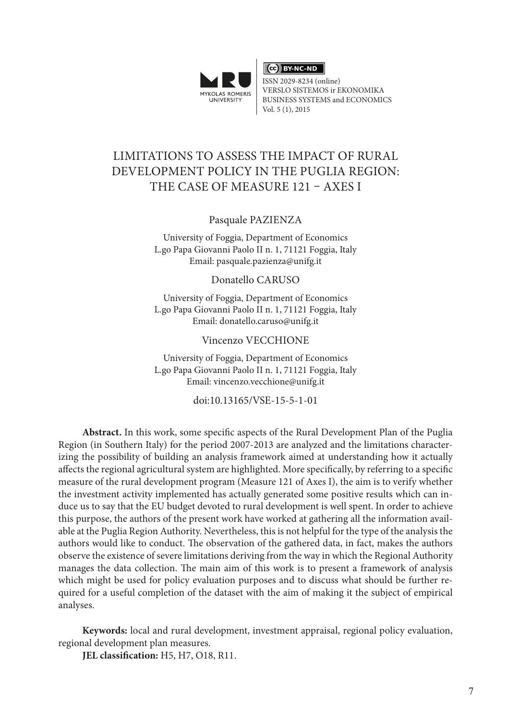

CC BY-NC-ND

ISSN 2029-8234 (online) VERSLO SISTEMOS ir EKONOMIKA BUSINESS SYSTEMS and ECONOMICS Vol. 5 (1), 2015

# LIMITATIONS TO ASSESS THE IMPACT OF RURAL DEVELOPMENT POLICY IN THE PUGLIA REGION: THE CASE OF MEASURE 121 – AXES I

Pasquale PAZIENZA

University of Foggia, Department of Economics L.go Papa Giovanni Paolo II n. 1, 71121 Foggia, Italy Email: [pasquale.pazienza@unifg.it](mailto:pasquale.pazienza@unifg.it)

Donatello CARUSO

University of Foggia, Department of Economics L.go Papa Giovanni Paolo II n. 1, 71121 Foggia, Italy Email: [donatello.caruso@unifg.it](mailto:donatello.caruso@unifg.it)

#### Vincenzo VECCHIONE

University of Foggia, Department of Economics L.go Papa Giovanni Paolo II n. 1, 71121 Foggia, Italy Email: [vincenzo.vecchione@unifg.it](mailto:donatello.caruso@unifg.it)

doi:10.13165/VSE-15-5-1-01

**Abstract.** In this work, some specific aspects of the Rural Development Plan of the Puglia Region (in Southern Italy) for the period 2007-2013 are analyzed and the limitations characterizing the possibility of building an analysis framework aimed at understanding how it actually affects the regional agricultural system are highlighted. More specifically, by referring to a specific measure of the rural development program (Measure 121 of Axes I), the aim is to verify whether the investment activity implemented has actually generated some positive results which can induce us to say that the EU budget devoted to rural development is well spent. In order to achieve this purpose, the authors of the present work have worked at gathering all the information available at the Puglia Region Authority. Nevertheless, this is not helpful for the type of the analysis the authors would like to conduct. The observation of the gathered data, in fact, makes the authors observe the existence of severe limitations deriving from the way in which the Regional Authority manages the data collection. The main aim of this work is to present a framework of analysis which might be used for policy evaluation purposes and to discuss what should be further required for a useful completion of the dataset with the aim of making it the subject of empirical analyses.

**Keywords:** local and rural development, investment appraisal, regional policy evaluation, regional development plan measures.

**JEL classification:** H5, H7, O18, R11.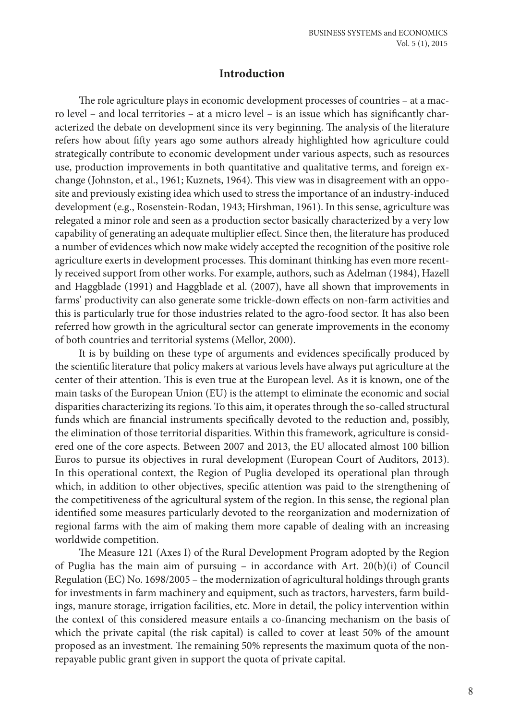# **Introduction**

The role agriculture plays in economic development processes of countries – at a macro level – and local territories – at a micro level – is an issue which has significantly characterized the debate on development since its very beginning. The analysis of the literature refers how about fifty years ago some authors already highlighted how agriculture could strategically contribute to economic development under various aspects, such as resources use, production improvements in both quantitative and qualitative terms, and foreign exchange (Johnston, et al., 1961; Kuznets, 1964). This view was in disagreement with an opposite and previously existing idea which used to stress the importance of an industry-induced development (e.g., Rosenstein-Rodan, 1943; Hirshman, 1961). In this sense, agriculture was relegated a minor role and seen as a production sector basically characterized by a very low capability of generating an adequate multiplier effect. Since then, the literature has produced a number of evidences which now make widely accepted the recognition of the positive role agriculture exerts in development processes. This dominant thinking has even more recently received support from other works. For example, authors, such as Adelman (1984), Hazell and Haggblade (1991) and Haggblade et al. (2007), have all shown that improvements in farms' productivity can also generate some trickle-down effects on non-farm activities and this is particularly true for those industries related to the agro-food sector. It has also been referred how growth in the agricultural sector can generate improvements in the economy of both countries and territorial systems (Mellor, 2000).

It is by building on these type of arguments and evidences specifically produced by the scientific literature that policy makers at various levels have always put agriculture at the center of their attention. This is even true at the European level. As it is known, one of the main tasks of the European Union (EU) is the attempt to eliminate the economic and social disparities characterizing its regions. To this aim, it operates through the so-called structural funds which are financial instruments specifically devoted to the reduction and, possibly, the elimination of those territorial disparities. Within this framework, agriculture is considered one of the core aspects. Between 2007 and 2013, the EU allocated almost 100 billion Euros to pursue its objectives in rural development (European Court of Auditors, 2013). In this operational context, the Region of Puglia developed its operational plan through which, in addition to other objectives, specific attention was paid to the strengthening of the competitiveness of the agricultural system of the region. In this sense, the regional plan identified some measures particularly devoted to the reorganization and modernization of regional farms with the aim of making them more capable of dealing with an increasing worldwide competition.

The Measure 121 (Axes I) of the Rural Development Program adopted by the Region of Puglia has the main aim of pursuing  $-$  in accordance with Art. 20(b)(i) of Council Regulation (EC) No. 1698/2005 – the modernization of agricultural holdings through grants for investments in farm machinery and equipment, such as tractors, harvesters, farm buildings, manure storage, irrigation facilities, etc. More in detail, the policy intervention within the context of this considered measure entails a co-financing mechanism on the basis of which the private capital (the risk capital) is called to cover at least 50% of the amount proposed as an investment. The remaining 50% represents the maximum quota of the nonrepayable public grant given in support the quota of private capital.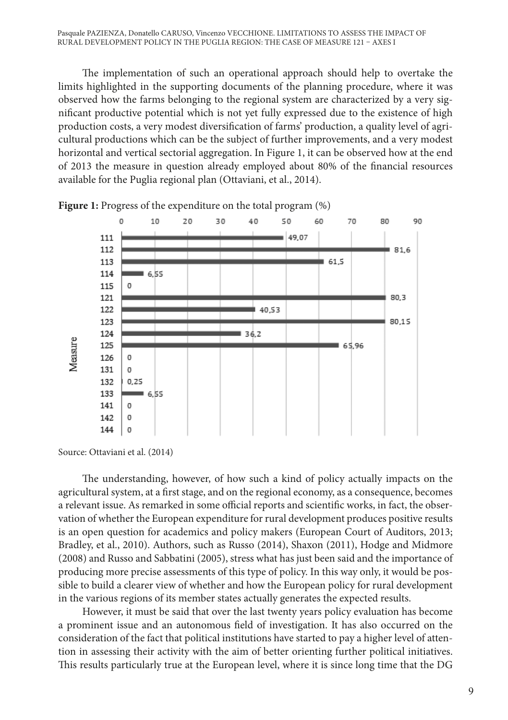The implementation of such an operational approach should help to overtake the limits highlighted in the supporting documents of the planning procedure, where it was observed how the farms belonging to the regional system are characterized by a very significant productive potential which is not yet fully expressed due to the existence of high production costs, a very modest diversification of farms' production, a quality level of agricultural productions which can be the subject of further improvements, and a very modest horizontal and vertical sectorial aggregation. In Figure 1, it can be observed how at the end of 2013 the measure in question already employed about 80% of the financial resources available for the Puglia regional plan (Ottaviani, et al., 2014).



**Figure 1:** Progress of the expenditure on the total program  $(\%)$ 

The understanding, however, of how such a kind of policy actually impacts on the agricultural system, at a first stage, and on the regional economy, as a consequence, becomes a relevant issue. As remarked in some official reports and scientific works, in fact, the observation of whether the European expenditure for rural development produces positive results is an open question for academics and policy makers (European Court of Auditors, 2013; Bradley, et al., 2010). Authors, such as Russo (2014), Shaxon (2011), Hodge and Midmore (2008) and Russo and Sabbatini (2005), stress what has just been said and the importance of producing more precise assessments of this type of policy. In this way only, it would be possible to build a clearer view of whether and how the European policy for rural development in the various regions of its member states actually generates the expected results.

However, it must be said that over the last twenty years policy evaluation has become a prominent issue and an autonomous field of investigation. It has also occurred on the consideration of the fact that political institutions have started to pay a higher level of attention in assessing their activity with the aim of better orienting further political initiatives. This results particularly true at the European level, where it is since long time that the DG

Source: Ottaviani et al. (2014)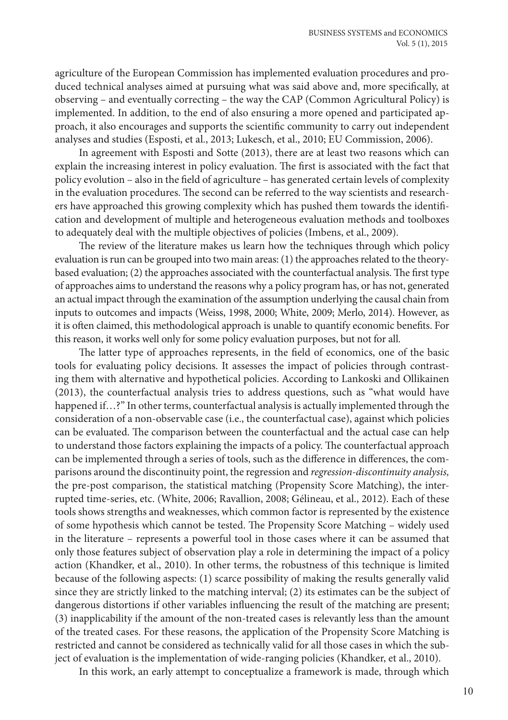agriculture of the European Commission has implemented evaluation procedures and produced technical analyses aimed at pursuing what was said above and, more specifically, at observing – and eventually correcting – the way the CAP (Common Agricultural Policy) is implemented. In addition, to the end of also ensuring a more opened and participated approach, it also encourages and supports the scientific community to carry out independent analyses and studies (Esposti, et al., 2013; Lukesch, et al., 2010; EU Commission, 2006).

In agreement with Esposti and Sotte (2013), there are at least two reasons which can explain the increasing interest in policy evaluation. The first is associated with the fact that policy evolution – also in the field of agriculture – has generated certain levels of complexity in the evaluation procedures. The second can be referred to the way scientists and researchers have approached this growing complexity which has pushed them towards the identification and development of multiple and heterogeneous evaluation methods and toolboxes to adequately deal with the multiple objectives of policies (Imbens, et al., 2009).

The review of the literature makes us learn how the techniques through which policy evaluation is run can be grouped into two main areas: (1) the approaches related to the theorybased evaluation; (2) the approaches associated with the counterfactual analysis. The first type of approaches aims to understand the reasons why a policy program has, or has not, generated an actual impact through the examination of the assumption underlying the causal chain from inputs to outcomes and impacts (Weiss, 1998, 2000; White, 2009; Merlo, 2014). However, as it is often claimed, this methodological approach is unable to quantify economic benefits. For this reason, it works well only for some policy evaluation purposes, but not for all.

The latter type of approaches represents, in the field of economics, one of the basic tools for evaluating policy decisions. It assesses the impact of policies through contrasting them with alternative and hypothetical policies. According to Lankoski and Ollikainen (2013), the counterfactual analysis tries to address questions, such as "what would have happened if…?" In other terms, counterfactual analysis is actually implemented through the consideration of a non-observable case (i.e., the counterfactual case), against which policies can be evaluated. The comparison between the counterfactual and the actual case can help to understand those factors explaining the impacts of a policy. The counterfactual approach can be implemented through a series of tools, such as the difference in differences, the comparisons around the discontinuity point, the regression and *regression-discontinuity analysis,*  the pre-post comparison, the statistical matching (Propensity Score Matching), the interrupted time-series, etc. (White, 2006; Ravallion, 2008; Gélineau, et al., 2012). Each of these tools shows strengths and weaknesses, which common factor is represented by the existence of some hypothesis which cannot be tested. The Propensity Score Matching – widely used in the literature – represents a powerful tool in those cases where it can be assumed that only those features subject of observation play a role in determining the impact of a policy action (Khandker, et al., 2010). In other terms, the robustness of this technique is limited because of the following aspects: (1) scarce possibility of making the results generally valid since they are strictly linked to the matching interval; (2) its estimates can be the subject of dangerous distortions if other variables influencing the result of the matching are present; (3) inapplicability if the amount of the non-treated cases is relevantly less than the amount of the treated cases. For these reasons, the application of the Propensity Score Matching is restricted and cannot be considered as technically valid for all those cases in which the subject of evaluation is the implementation of wide-ranging policies (Khandker, et al., 2010).

In this work, an early attempt to conceptualize a framework is made, through which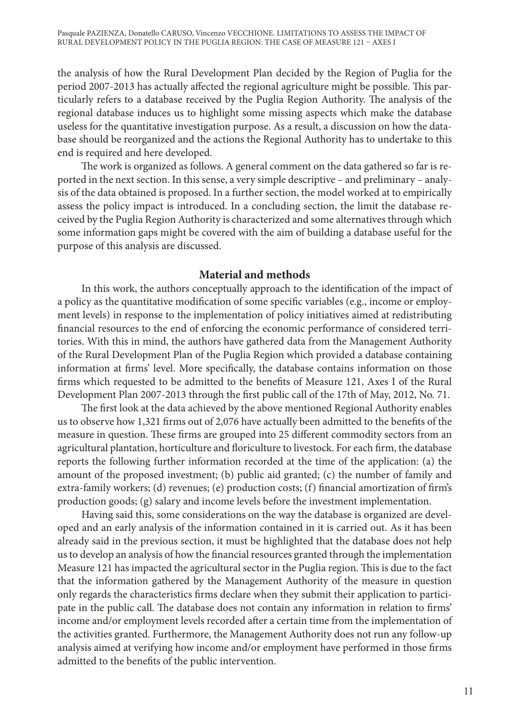the analysis of how the Rural Development Plan decided by the Region of Puglia for the period 2007-2013 has actually affected the regional agriculture might be possible. This particularly refers to a database received by the Puglia Region Authority. The analysis of the regional database induces us to highlight some missing aspects which make the database useless for the quantitative investigation purpose. As a result, a discussion on how the database should be reorganized and the actions the Regional Authority has to undertake to this end is required and here developed.

The work is organized as follows. A general comment on the data gathered so far is reported in the next section. In this sense, a very simple descriptive – and preliminary – analysis of the data obtained is proposed. In a further section, the model worked at to empirically assess the policy impact is introduced. In a concluding section, the limit the database received by the Puglia Region Authority is characterized and some alternatives through which some information gaps might be covered with the aim of building a database useful for the purpose of this analysis are discussed.

## **Material and methods**

In this work, the authors conceptually approach to the identification of the impact of a policy as the quantitative modification of some specific variables (e.g., income or employment levels) in response to the implementation of policy initiatives aimed at redistributing financial resources to the end of enforcing the economic performance of considered territories. With this in mind, the authors have gathered data from the Management Authority of the Rural Development Plan of the Puglia Region which provided a database containing information at firms' level. More specifically, the database contains information on those firms which requested to be admitted to the benefits of Measure 121, Axes I of the Rural Development Plan 2007-2013 through the first public call of the 17th of May, 2012, No. 71.

The first look at the data achieved by the above mentioned Regional Authority enables us to observe how 1,321 firms out of 2,076 have actually been admitted to the benefits of the measure in question. These firms are grouped into 25 different commodity sectors from an agricultural plantation, horticulture and floriculture to livestock. For each firm, the database reports the following further information recorded at the time of the application: (a) the amount of the proposed investment; (b) public aid granted; (c) the number of family and extra-family workers; (d) revenues; (e) production costs; (f) financial amortization of firm's production goods; (g) salary and income levels before the investment implementation.

Having said this, some considerations on the way the database is organized are developed and an early analysis of the information contained in it is carried out. As it has been already said in the previous section, it must be highlighted that the database does not help us to develop an analysis of how the financial resources granted through the implementation Measure 121 has impacted the agricultural sector in the Puglia region. This is due to the fact that the information gathered by the Management Authority of the measure in question only regards the characteristics firms declare when they submit their application to participate in the public call. The database does not contain any information in relation to firms' income and/or employment levels recorded after a certain time from the implementation of the activities granted. Furthermore, the Management Authority does not run any follow-up analysis aimed at verifying how income and/or employment have performed in those firms admitted to the benefits of the public intervention.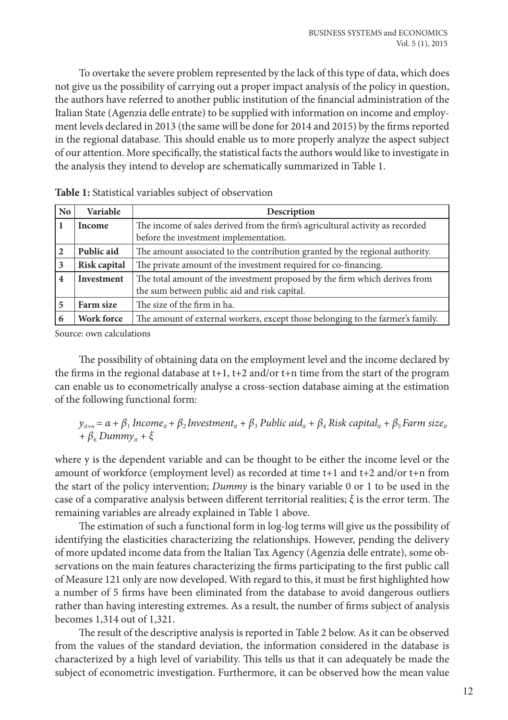To overtake the severe problem represented by the lack of this type of data, which does not give us the possibility of carrying out a proper impact analysis of the policy in question, the authors have referred to another public institution of the financial administration of the Italian State (Agenzia delle entrate) to be supplied with information on income and employment levels declared in 2013 (the same will be done for 2014 and 2015) by the firms reported in the regional database. This should enable us to more properly analyze the aspect subject of our attention. More specifically, the statistical facts the authors would like to investigate in the analysis they intend to develop are schematically summarized in Table 1.

| No             | Variable      | Description                                                                                                                |  |  |  |
|----------------|---------------|----------------------------------------------------------------------------------------------------------------------------|--|--|--|
|                | <b>Income</b> | The income of sales derived from the firm's agricultural activity as recorded<br>before the investment implementation.     |  |  |  |
| $\mathbf{2}$   | Public aid    | The amount associated to the contribution granted by the regional authority.                                               |  |  |  |
| 3              | Risk capital  | The private amount of the investment required for co-financing.                                                            |  |  |  |
| $\overline{4}$ | Investment    | The total amount of the investment proposed by the firm which derives from<br>the sum between public aid and risk capital. |  |  |  |
| 5              | Farm size     | The size of the firm in ha.                                                                                                |  |  |  |
|                | Work force    | The amount of external workers, except those belonging to the farmer's family.                                             |  |  |  |

| Table 1: Statistical variables subject of observation |  |
|-------------------------------------------------------|--|
|-------------------------------------------------------|--|

Source: own calculations

The possibility of obtaining data on the employment level and the income declared by the firms in the regional database at  $t+1$ ,  $t+2$  and/or  $t+n$  time from the start of the program can enable us to econometrically analyse a cross-section database aiming at the estimation of the following functional form:

$$
y_{it+n} = \alpha + \beta_1 Income_{it} + \beta_2 Investment_{it} + \beta_3 Public aid_{it} + \beta_4 Risk capital_{it} + \beta_5 Farm size_{it} + \beta_6 Dummy_{it} + \xi
$$

where y is the dependent variable and can be thought to be either the income level or the amount of workforce (employment level) as recorded at time t+1 and t+2 and/or t+n from the start of the policy intervention; *Dummy* is the binary variable 0 or 1 to be used in the case of a comparative analysis between different territorial realities; *ξ* is the error term. The remaining variables are already explained in Table 1 above.

The estimation of such a functional form in log-log terms will give us the possibility of identifying the elasticities characterizing the relationships. However, pending the delivery of more updated income data from the Italian Tax Agency (Agenzia delle entrate), some observations on the main features characterizing the firms participating to the first public call of Measure 121 only are now developed. With regard to this, it must be first highlighted how a number of 5 firms have been eliminated from the database to avoid dangerous outliers rather than having interesting extremes. As a result, the number of firms subject of analysis becomes 1,314 out of 1,321.

The result of the descriptive analysis is reported in Table 2 below. As it can be observed from the values of the standard deviation, the information considered in the database is characterized by a high level of variability. This tells us that it can adequately be made the subject of econometric investigation. Furthermore, it can be observed how the mean value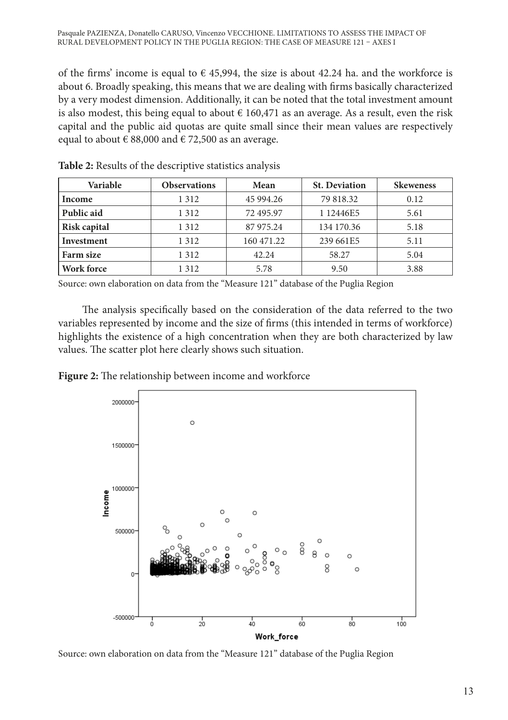of the firms' income is equal to  $\epsilon$  45,994, the size is about 42.24 ha. and the workforce is about 6. Broadly speaking, this means that we are dealing with firms basically characterized by a very modest dimension. Additionally, it can be noted that the total investment amount is also modest, this being equal to about  $\epsilon$  160,471 as an average. As a result, even the risk capital and the public aid quotas are quite small since their mean values are respectively equal to about  $\in$  88,000 and  $\in$  72,500 as an average.

| Variable          | <b>Observations</b> | Mean       | <b>St. Deviation</b> | <b>Skeweness</b> |
|-------------------|---------------------|------------|----------------------|------------------|
| Income            | 1 3 1 2             | 45 994.26  | 79 818.32            | 0.12             |
| Public aid        | 1 3 1 2             | 72 495.97  | 1 12446E5            | 5.61             |
| Risk capital      | 1 3 1 2             | 87 975.24  | 134 170.36           | 5.18             |
| Investment        | 1 3 1 2             | 160 471.22 | 239 661E5            | 5.11             |
| Farm size         | 1 3 1 2             | 42.24      | 58.27                | 5.04             |
| <b>Work force</b> | 1 3 1 2             | 5.78       | 9.50                 | 3.88             |

**Table 2:** Results of the descriptive statistics analysis

Source: own elaboration on data from the "Measure 121" database of the Puglia Region

The analysis specifically based on the consideration of the data referred to the two variables represented by income and the size of firms (this intended in terms of workforce) highlights the existence of a high concentration when they are both characterized by law values. The scatter plot here clearly shows such situation.

**Figure 2:** The relationship between income and workforce



Source: own elaboration on data from the "Measure 121" database of the Puglia Region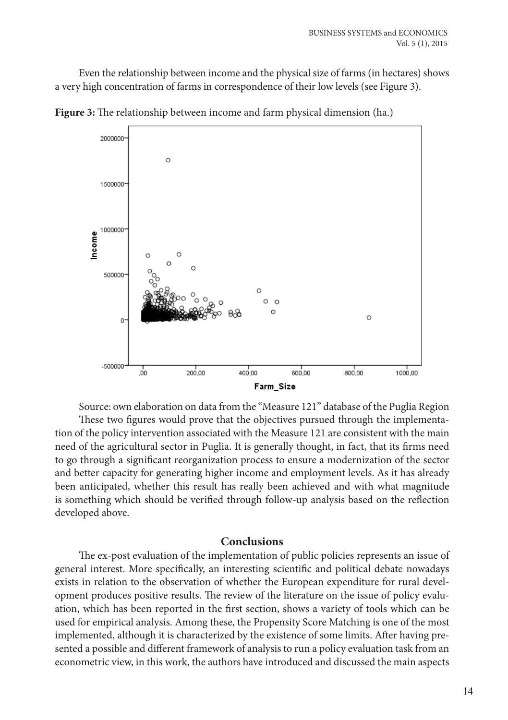Even the relationship between income and the physical size of farms (in hectares) shows a very high concentration of farms in correspondence of their low levels (see Figure 3).



**Figure 3:** The relationship between income and farm physical dimension (ha.)

Source: own elaboration on data from the "Measure 121" database of the Puglia Region These two figures would prove that the objectives pursued through the implementation of the policy intervention associated with the Measure 121 are consistent with the main need of the agricultural sector in Puglia. It is generally thought, in fact, that its firms need to go through a significant reorganization process to ensure a modernization of the sector and better capacity for generating higher income and employment levels. As it has already been anticipated, whether this result has really been achieved and with what magnitude is something which should be verified through follow-up analysis based on the reflection developed above.

## **Conclusions**

The ex-post evaluation of the implementation of public policies represents an issue of general interest. More specifically, an interesting scientific and political debate nowadays exists in relation to the observation of whether the European expenditure for rural development produces positive results. The review of the literature on the issue of policy evaluation, which has been reported in the first section, shows a variety of tools which can be used for empirical analysis. Among these, the Propensity Score Matching is one of the most implemented, although it is characterized by the existence of some limits. After having presented a possible and different framework of analysis to run a policy evaluation task from an econometric view, in this work, the authors have introduced and discussed the main aspects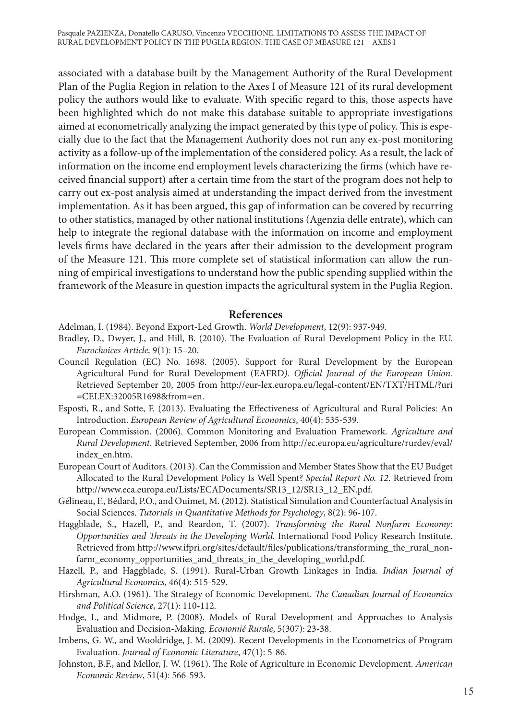associated with a database built by the Management Authority of the Rural Development Plan of the Puglia Region in relation to the Axes I of Measure 121 of its rural development policy the authors would like to evaluate. With specific regard to this, those aspects have been highlighted which do not make this database suitable to appropriate investigations aimed at econometrically analyzing the impact generated by this type of policy. This is especially due to the fact that the Management Authority does not run any ex-post monitoring activity as a follow-up of the implementation of the considered policy. As a result, the lack of information on the income end employment levels characterizing the firms (which have received financial support) after a certain time from the start of the program does not help to carry out ex-post analysis aimed at understanding the impact derived from the investment implementation. As it has been argued, this gap of information can be covered by recurring to other statistics, managed by other national institutions (Agenzia delle entrate), which can help to integrate the regional database with the information on income and employment levels firms have declared in the years after their admission to the development program of the Measure 121. This more complete set of statistical information can allow the running of empirical investigations to understand how the public spending supplied within the framework of the Measure in question impacts the agricultural system in the Puglia Region.

#### **References**

Adelman, I. (1984). Beyond Export-Led Growth. *World Development*, 12(9): 937-949.

- Bradley, D., Dwyer, J., and Hill, B. (2010). The Evaluation of Rural Development Policy in the EU. *Eurochoices Article,* 9(1): 15–20.
- Council Regulation (EC) No. 1698. (2005). Support for Rural Development by the European Agricultural Fund for Rural Development (EAFRD*). Official Journal of the European Union.*  Retrieved September 20, 2005 from [http://eur-lex.europa.eu/legal-content/EN/TXT/HTML/?uri](http://eur-lex.europa.eu/legal-content/EN/TXT/HTML/?uri=CELEX:32005R1698&from=en) [=CELEX:32005R1698&from=en](http://eur-lex.europa.eu/legal-content/EN/TXT/HTML/?uri=CELEX:32005R1698&from=en).
- Esposti, R., and Sotte, F. (2013). Evaluating the Effectiveness of Agricultural and Rural Policies: An Introduction. *European Review of Agricultural Economics*, 40(4): 535-539.
- European Commission. (2006). Common Monitoring and Evaluation Framework*. Agriculture and Rural Development*. Retrieved September, 2006 from http://ec.europa.eu/agriculture/rurdev/eval/ index\_en.htm.
- European Court of Auditors. (2013). Can the Commission and Member States Show that the EU Budget Allocated to the Rural Development Policy Is Well Spent? *Special Report No. 12*. Retrieved from [http://www.eca.europa.eu/Lists/ECADocuments/SR13\\_12/SR13\\_12\\_EN.pdf](http://www.eca.europa.eu/Lists/ECADocuments/SR13_12/SR13_12_EN.pdf).
- Gélineau, F., Bédard, P.O., and Ouimet, M. (2012). Statistical Simulation and Counterfactual Analysis in Social Sciences. *Tutorials in Quantitative Methods for Psychology*, 8(2): 96-107.
- Haggblade, S., Hazell, P., and Reardon, T. (2007). *Transforming the Rural Nonfarm Economy: Opportunities and Threats in the Developing World.* International Food Policy Research Institute. Retrieved from [http://www.ifpri.org/sites/default/files/publications/transforming\\_the\\_rural\\_non](http://www.ifpri.org/sites/default/files/publications/transforming_the_rural_nonfarm_economy_opportunities_and_threats_in_the_developing_world.pdf)[farm\\_economy\\_opportunities\\_and\\_threats\\_in\\_the\\_developing\\_world.pdf.](http://www.ifpri.org/sites/default/files/publications/transforming_the_rural_nonfarm_economy_opportunities_and_threats_in_the_developing_world.pdf)
- Hazell, P., and Haggblade, S. (1991). Rural-Urban Growth Linkages in India. *Indian Journal of Agricultural Economics*, 46(4): 515-529.
- Hirshman, A.O. (1961). The Strategy of Economic Development. *The Canadian Journal of Economics and Political Science*, 27(1): 110-112.
- Hodge, I., and Midmore, P. (2008). Models of Rural Development and Approaches to Analysis Evaluation and Decision-Making*. Economié Rurale*, 5(307): 23-38.
- Imbens, G. W., and Wooldridge, J. M. (2009). Recent Developments in the Econometrics of Program Evaluation. *Journal of Economic Literature*, 47(1): 5-86.
- Johnston, B.F., and Mellor, J. W. (1961). The Role of Agriculture in Economic Development. *American Economic Review*, 51(4): 566-593.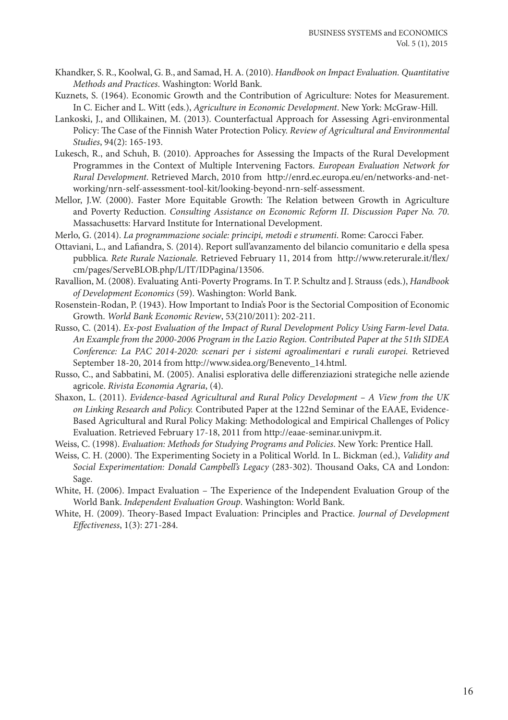- Khandker, S. R., Koolwal, G. B., and Samad, H. A. (2010). *Handbook on Impact Evaluation. Quantitative Methods and Practices*. Washington: World Bank.
- Kuznets, S. (1964). Economic Growth and the Contribution of Agriculture: Notes for Measurement. In C. Eicher and L. Witt (eds.), *Agriculture in Economic Development*. New York: McGraw-Hill.
- Lankoski, J., and Ollikainen, M. (2013). Counterfactual Approach for Assessing Agri-environmental Policy: The Case of the Finnish Water Protection Policy. *Review of Agricultural and Environmental Studies*, 94(2): 165-193.
- Lukesch, R., and Schuh, B. (2010). Approaches for Assessing the Impacts of the Rural Development Programmes in the Context of Multiple Intervening Factors. *European Evaluation Network for Rural Development*. Retrieved March, 2010 from http://enrd.ec.europa.eu/en/networks-and-networking/nrn-self-assessment-tool-kit/looking-beyond-nrn-self-assessment.
- Mellor, J.W. (2000). Faster More Equitable Growth: The Relation between Growth in Agriculture and Poverty Reduction. *Consulting Assistance on Economic Reform II*. *Discussion Paper No. 70*. Massachusetts: Harvard Institute for International Development.
- Merlo, G. (2014). *[La programmazione sociale: principi, metodi e strumenti](http://www.carocci.it/index.php?option=com_carocci&Itemid=72&task=schedalibro&isbn=9788874666942)*. Rome: Carocci Faber.
- Ottaviani, L., and Lafiandra, S. (2014). Report sull'avanzamento del bilancio comunitario e della spesa pubblica*. Rete Rurale Nazionale.* Retrieved February 11, 2014 from http://www.reterurale.it/flex/ cm/pages/ServeBLOB.php/L/IT/IDPagina/13506.
- Ravallion, M. (2008). Evaluating Anti-Poverty Programs. In T. P. Schultz and J. Strauss (eds.), *Handbook of Development Economics* (59). Washington: World Bank.
- Rosenstein-Rodan, P. (1943). How Important to India's Poor is the Sectorial Composition of Economic Growth. *World Bank Economic Review*, 53(210/2011): 202-211.
- Russo, C. (2014). *Ex-post Evaluation of the Impact of Rural Development Policy Using Farm-level Data. An Example from the 2000-2006 Program in the Lazio Region. Contributed Paper at the 51th SIDEA Conference: La PAC 2014-2020: scenari per i sistemi agroalimentari e rurali europei.* Retrieved September 18-20, 2014 from http://www.sidea.org/Benevento\_14.html.
- Russo, C., and Sabbatini, M. (2005). Analisi esplorativa delle differenziazioni strategiche nelle aziende agricole. *Rivista Economia Agraria*, (4).
- Shaxon, L. (2011). *Evidence-based Agricultural and Rural Policy Development A View from the UK on Linking Research and Policy.* Contributed Paper at the 122nd Seminar of the EAAE, Evidence-Based Agricultural and Rural Policy Making: Methodological and Empirical Challenges of Policy Evaluation. Retrieved February 17-18, 2011 from http://eaae-seminar.univpm.it.
- Weiss, C. (1998). *Evaluation: Methods for Studying Programs and Policies*. New York: Prentice Hall.
- Weiss, C. H. (2000). The Experimenting Society in a Political World. In L. Bickman (ed.), *Validity and Social Experimentation: Donald Campbell's Legacy* (283-302). Thousand Oaks, CA and London: Sage.
- White, H. (2006). Impact Evaluation The Experience of the Independent Evaluation Group of the World Bank. *Independent Evaluation Group*. Washington: World Bank.
- White, H. (2009). Theory-Based Impact Evaluation: Principles and Practice. *Journal of Development Effectiveness*, 1(3): 271-284.